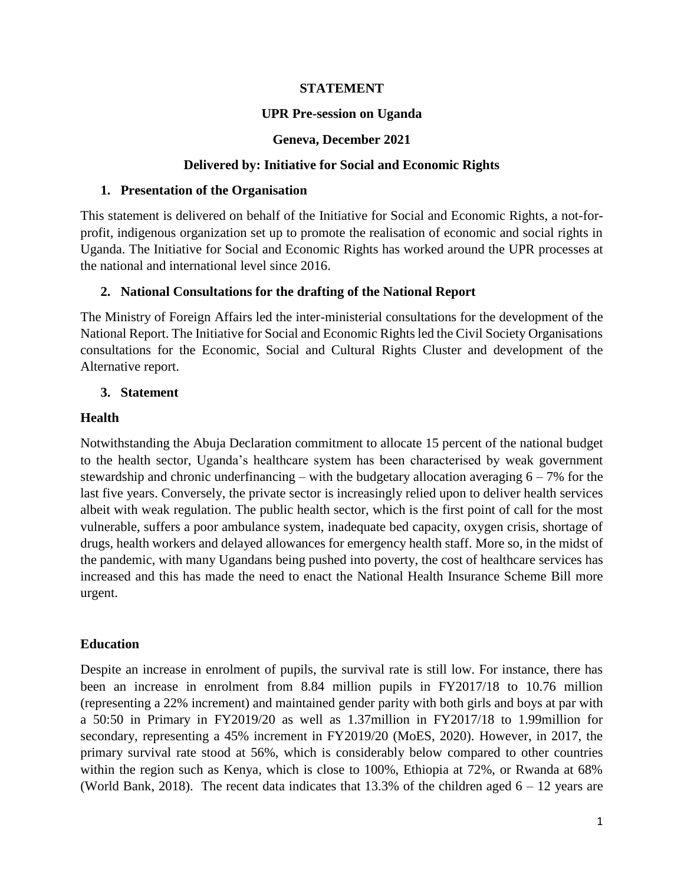# **STATEMENT**

## **UPR Pre-session on Uganda**

### **Geneva, December 2021**

### **Delivered by: Initiative for Social and Economic Rights**

#### **1. Presentation of the Organisation**

This statement is delivered on behalf of the Initiative for Social and Economic Rights, a not-forprofit, indigenous organization set up to promote the realisation of economic and social rights in Uganda. The Initiative for Social and Economic Rights has worked around the UPR processes at the national and international level since 2016.

## **2. National Consultations for the drafting of the National Report**

The Ministry of Foreign Affairs led the inter-ministerial consultations for the development of the National Report. The Initiative for Social and Economic Rights led the Civil Society Organisations consultations for the Economic, Social and Cultural Rights Cluster and development of the Alternative report.

## **3. Statement**

## **Health**

Notwithstanding the Abuja Declaration commitment to allocate 15 percent of the national budget to the health sector, Uganda's healthcare system has been characterised by weak government stewardship and chronic underfinancing – with the budgetary allocation averaging  $6 - 7\%$  for the last five years. Conversely, the private sector is increasingly relied upon to deliver health services albeit with weak regulation. The public health sector, which is the first point of call for the most vulnerable, suffers a poor ambulance system, inadequate bed capacity, oxygen crisis, shortage of drugs, health workers and delayed allowances for emergency health staff. More so, in the midst of the pandemic, with many Ugandans being pushed into poverty, the cost of healthcare services has increased and this has made the need to enact the National Health Insurance Scheme Bill more urgent.

# **Education**

Despite an increase in enrolment of pupils, the survival rate is still low. For instance, there has been an increase in enrolment from 8.84 million pupils in FY2017/18 to 10.76 million (representing a 22% increment) and maintained gender parity with both girls and boys at par with a 50:50 in Primary in FY2019/20 as well as 1.37million in FY2017/18 to 1.99million for secondary, representing a 45% increment in FY2019/20 (MoES, 2020). However, in 2017, the primary survival rate stood at 56%, which is considerably below compared to other countries within the region such as Kenya, which is close to 100%, Ethiopia at 72%, or Rwanda at 68% (World Bank, 2018). The recent data indicates that 13.3% of the children aged  $6 - 12$  years are